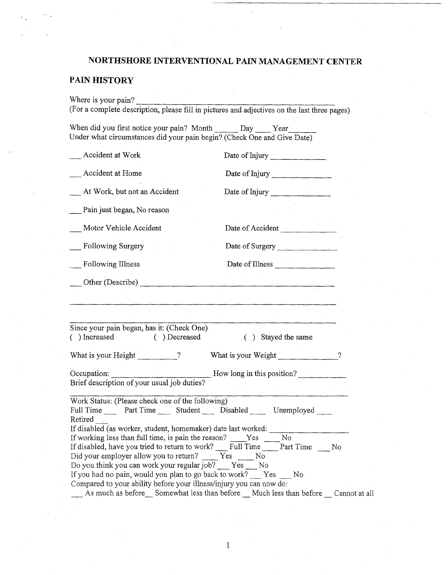## **PAIN HISTORY**

| When did you first notice your pain? Month ______ Day ____ Year<br>Under what circumstances did your pain begin? (Check One and Give Date)                                                                                                                                                                                                                                                               |                                                                                                                                                          |
|----------------------------------------------------------------------------------------------------------------------------------------------------------------------------------------------------------------------------------------------------------------------------------------------------------------------------------------------------------------------------------------------------------|----------------------------------------------------------------------------------------------------------------------------------------------------------|
| Accident at Work                                                                                                                                                                                                                                                                                                                                                                                         | Date of Injury                                                                                                                                           |
| Accident at Home                                                                                                                                                                                                                                                                                                                                                                                         | Date of Injury                                                                                                                                           |
| At Work, but not an Accident                                                                                                                                                                                                                                                                                                                                                                             | Date of Injury                                                                                                                                           |
| Pain just began, No reason                                                                                                                                                                                                                                                                                                                                                                               |                                                                                                                                                          |
| Motor Vehicle Accident                                                                                                                                                                                                                                                                                                                                                                                   | Date of Accident                                                                                                                                         |
| Following Surgery                                                                                                                                                                                                                                                                                                                                                                                        | Date of Surgery                                                                                                                                          |
| Following Illness                                                                                                                                                                                                                                                                                                                                                                                        | Date of Illness                                                                                                                                          |
| Other (Describe)                                                                                                                                                                                                                                                                                                                                                                                         |                                                                                                                                                          |
|                                                                                                                                                                                                                                                                                                                                                                                                          |                                                                                                                                                          |
|                                                                                                                                                                                                                                                                                                                                                                                                          |                                                                                                                                                          |
| Since your pain began, has it: (Check One)<br>() Increased<br>( ) Decreased                                                                                                                                                                                                                                                                                                                              | ( ) Stayed the same                                                                                                                                      |
| What is your Height 2                                                                                                                                                                                                                                                                                                                                                                                    | What is your Weight<br>$\gamma$                                                                                                                          |
| Occupation:<br>Brief description of your usual job duties?                                                                                                                                                                                                                                                                                                                                               | How long in this position?                                                                                                                               |
| Work Status: (Please check one of the following)<br>Full Time Part Time Student Disabled<br>Retired                                                                                                                                                                                                                                                                                                      | Unemployed                                                                                                                                               |
| If disabled (as worker, student, homemaker) date last worked:<br>If working less than full time, is pain the reason?<br>If disabled, have you tried to return to work?<br>Did your employer allow you to return?<br>Do you think you can work your regular job? Yes<br>If you had no pain, would you plan to go back to work? Yes<br>Compared to your ability before your illness/injury you can now do: | No<br>Yes<br>Full Time<br>Part Time<br>No.<br>Yes<br>No<br>No<br>- No<br>As much as before Somewhat less than before Much less than before Cannot at all |

 $\,1$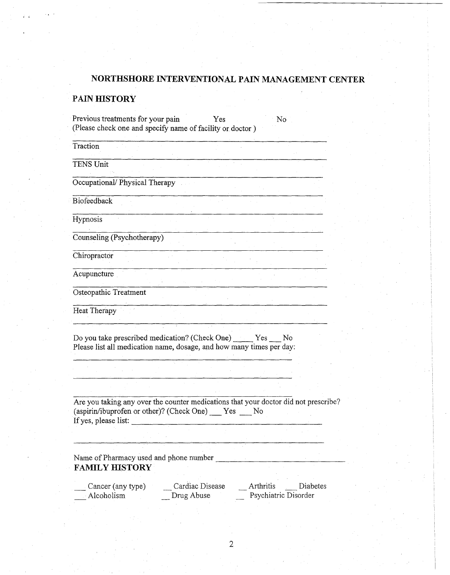## **PAIN HISTORY**

| Previous treatments for your pain<br>(Please check one and specify name of facility or doctor)                                                                            |                               | Yes |           | No                   |          |
|---------------------------------------------------------------------------------------------------------------------------------------------------------------------------|-------------------------------|-----|-----------|----------------------|----------|
| Traction                                                                                                                                                                  |                               |     |           |                      |          |
| <b>TENS Unit</b>                                                                                                                                                          |                               |     |           |                      |          |
| Occupational/Physical Therapy                                                                                                                                             |                               |     |           |                      |          |
| Biofeedback                                                                                                                                                               |                               |     |           |                      |          |
| Hypnosis                                                                                                                                                                  |                               |     |           |                      |          |
| Counseling (Psychotherapy)                                                                                                                                                |                               |     |           |                      |          |
| Chiropractor                                                                                                                                                              |                               |     |           |                      |          |
| Acupuncture                                                                                                                                                               |                               |     |           |                      |          |
| Osteopathic Treatment                                                                                                                                                     |                               |     |           |                      |          |
| Heat Therapy                                                                                                                                                              |                               |     |           |                      |          |
| Do you take prescribed medication? (Check One) ______ Yes<br>Please list all medication name, dosage, and how many times per day:                                         |                               |     |           | No                   |          |
|                                                                                                                                                                           |                               |     |           |                      |          |
| Are you taking any over the counter medications that your doctor did not prescribe?<br>(aspirin/ibuprofen or other)? (Check One) ____ Yes ____ No<br>If yes, please list: |                               |     |           |                      |          |
|                                                                                                                                                                           |                               |     |           |                      |          |
| Name of Pharmacy used and phone number<br><b>FAMILY HISTORY</b>                                                                                                           |                               |     |           |                      |          |
| Cancer (any type)<br>Alcoholism                                                                                                                                           | Cardiac Disease<br>Drug Abuse |     | Arthritis | Psychiatric Disorder | Diabetes |

 $\overline{2}$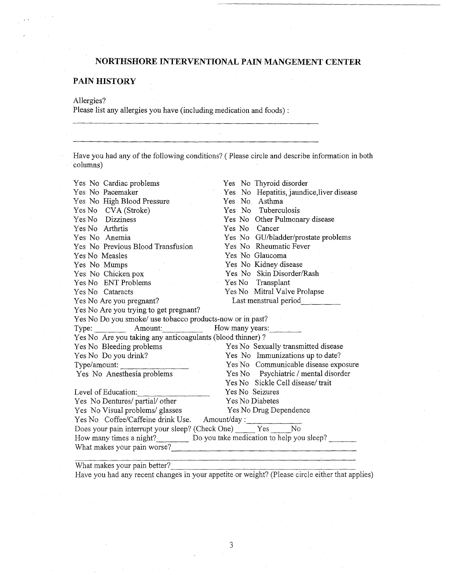### PAIN HISTORY

#### Allergies?

Please list any allergies you have (including medication and foods):

Have you had any of the following conditions? (Please circle and describe information in both columns)

| Yes No Cardiac problems                                               | Yes No Thyroid disorder                   |  |  |  |
|-----------------------------------------------------------------------|-------------------------------------------|--|--|--|
| Yes No Pacemaker                                                      | Yes No Hepatitis, jaundice, liver disease |  |  |  |
| Yes No High Blood Pressure                                            | Yes No. Asthma                            |  |  |  |
| Yes No CVA (Stroke)                                                   | Yes No Tuberculosis                       |  |  |  |
| Yes No Dizziness                                                      | Yes No Other Pulmonary disease            |  |  |  |
| Yes No Arthrtis                                                       | Yes No Cancer                             |  |  |  |
| Yes No Anemia                                                         | Yes No GU/bladder/prostate problems       |  |  |  |
| Yes No Previous Blood Transfusion                                     | Yes No Rheumatic Fever                    |  |  |  |
| Yes No Measles                                                        | Yes No Glaucoma                           |  |  |  |
| Yes No Mumps                                                          | Yes No Kidney disease                     |  |  |  |
| Yes No Chicken pox                                                    | Yes No Skin Disorder/Rash                 |  |  |  |
| Yes No ENT Problems                                                   | Yes No Transplant                         |  |  |  |
| Yes No Cataracts                                                      | Yes No Mitral Valve Prolapse              |  |  |  |
| Yes No Are you pregnant?                                              | Last menstrual period                     |  |  |  |
| Yes No Are you trying to get pregnant?                                |                                           |  |  |  |
| Yes No Do you smoke/ use tobacco products-now or in past?             |                                           |  |  |  |
| Type: Amount:                                                         | How many years:                           |  |  |  |
| Yes No Are you taking any anticoagulants (blood thinner)?             |                                           |  |  |  |
| Yes No Bleeding problems<br><b>Contract Contract</b>                  | Yes No Sexually transmitted disease       |  |  |  |
| Yes No Do you drink?                                                  | Yes No Immunizations up to date?          |  |  |  |
| Type/amount:                                                          | Yes No Communicable disease exposure      |  |  |  |
| Yes No Anesthesia problems                                            | Yes No Psychiatric / mental disorder      |  |  |  |
|                                                                       | Yes No Sickle Cell disease/trait          |  |  |  |
| Level of Education:                                                   | Yes No Seizures                           |  |  |  |
| Yes No Dentures/ partial/ other                                       | Yes No Diabetes                           |  |  |  |
| Yes No Visual problems/ glasses                                       | Yes No Drug Dependence                    |  |  |  |
| Yes No Coffee/Caffeine drink Use. Amount/day:                         |                                           |  |  |  |
| Does your pain interrupt your sleep? (Check One) _____ Yes ____<br>No |                                           |  |  |  |
| How many times a night? Do you take medication to help you sleep?     |                                           |  |  |  |
| What makes your pain worse?                                           |                                           |  |  |  |
|                                                                       |                                           |  |  |  |

What makes your pain better?

Have you had any recent changes in your appetite or weight? (Please circle either that applies)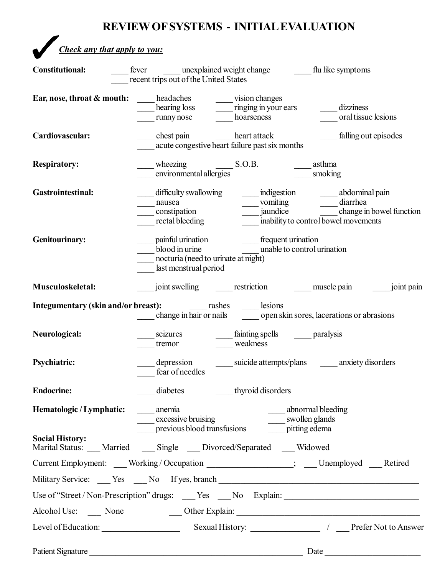# **REVIEW OFSYSTEMS - INITIALEVALUATION**

*Check any that apply to you:* 

| <b>Constitutional:</b>                 | unexplained weight change<br>fever<br>recent trips out of the United States                          | flu like symptoms                         |  |  |  |
|----------------------------------------|------------------------------------------------------------------------------------------------------|-------------------------------------------|--|--|--|
| Ear, nose, throat & mouth:             | headaches<br>vision changes                                                                          |                                           |  |  |  |
|                                        | hearing loss<br>ringing in your ears                                                                 | dizziness                                 |  |  |  |
|                                        | hoarseness<br>runny nose                                                                             | oral tissue lesions                       |  |  |  |
| Cardiovascular:                        | chest pain<br>heart attack<br>acute congestive heart failure past six months                         | falling out episodes                      |  |  |  |
|                                        |                                                                                                      |                                           |  |  |  |
| <b>Respiratory:</b>                    | wheezing S.O.B.<br>environmental allergies<br>asthma                                                 |                                           |  |  |  |
|                                        |                                                                                                      | smoking                                   |  |  |  |
| <b>Gastrointestinal:</b>               | _indigestion<br>difficulty swallowing                                                                | ____ abdominal pain                       |  |  |  |
|                                        | vomiting Theorem<br>nausea                                                                           | diarrhea                                  |  |  |  |
|                                        | jaundice<br>constipation                                                                             | change in bowel function                  |  |  |  |
|                                        | rectal bleeding                                                                                      | inability to control bowel movements      |  |  |  |
| <b>Genitourinary:</b>                  | painful urination<br>frequent urination                                                              |                                           |  |  |  |
|                                        | blood in urine<br>unable to control urination                                                        |                                           |  |  |  |
|                                        | nocturia (need to urinate at night)                                                                  |                                           |  |  |  |
|                                        | last menstrual period                                                                                |                                           |  |  |  |
| Musculoskeletal:                       | restriction<br>joint swelling                                                                        | joint pain<br>muscle pain                 |  |  |  |
|                                        | lesions<br>change in hair or nails                                                                   | open skin sores, lacerations or abrasions |  |  |  |
|                                        |                                                                                                      |                                           |  |  |  |
| Neurological:                          | fainting spells ________ paralysis<br>seizures                                                       |                                           |  |  |  |
|                                        | weakness<br>tremor                                                                                   |                                           |  |  |  |
| <b>Psychiatric:</b>                    | depression                                                                                           | suicide attempts/plans anxiety disorders  |  |  |  |
|                                        | fear of needles                                                                                      |                                           |  |  |  |
|                                        |                                                                                                      |                                           |  |  |  |
| <b>Endocrine:</b>                      | thyroid disorders<br>diabetes                                                                        |                                           |  |  |  |
| Hematologic / Lymphatic: ______ anemia |                                                                                                      |                                           |  |  |  |
|                                        | ____ abnormal bleeding                                                                               |                                           |  |  |  |
|                                        |                                                                                                      |                                           |  |  |  |
| <b>Social History:</b>                 | Marital Status: ___ Married ____ Single ___ Divorced/Separated ___ Widowed                           |                                           |  |  |  |
|                                        | Current Employment: ___Working/Occupation _________________; ___Unemployed ___Retired                |                                           |  |  |  |
|                                        | Military Service: ____ Yes ____ No If yes, branch _______________________________                    |                                           |  |  |  |
|                                        | Use of "Street / Non-Prescription" drugs: ___ Yes ___ No Explain: __________________________________ |                                           |  |  |  |
| Alcohol Use: None                      |                                                                                                      |                                           |  |  |  |
|                                        | Level of Education: Sexual History: Sexual History: 1 Prefer Not to Answer                           |                                           |  |  |  |
|                                        |                                                                                                      |                                           |  |  |  |
| <b>Patient Signature</b>               |                                                                                                      | Date                                      |  |  |  |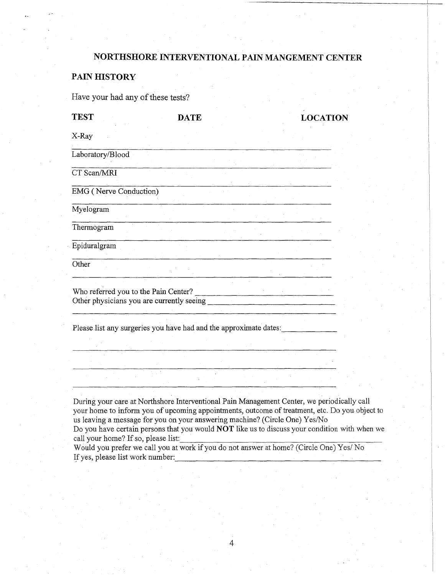#### PAIN HISTORY

Have your had any of these tests?

| <b>TEST</b>                          | <b>DATE</b>                                                                                                                                                                              |  | <b>LOCATION</b> |
|--------------------------------------|------------------------------------------------------------------------------------------------------------------------------------------------------------------------------------------|--|-----------------|
| X-Ray                                |                                                                                                                                                                                          |  |                 |
| Laboratory/Blood                     |                                                                                                                                                                                          |  |                 |
| CT Scan/MRI                          |                                                                                                                                                                                          |  |                 |
| EMG (Nerve Conduction)               |                                                                                                                                                                                          |  |                 |
| Myelogram                            |                                                                                                                                                                                          |  |                 |
| Thermogram                           |                                                                                                                                                                                          |  |                 |
| Epiduralgram                         |                                                                                                                                                                                          |  |                 |
| Other                                |                                                                                                                                                                                          |  |                 |
| Who referred you to the Pain Center? |                                                                                                                                                                                          |  |                 |
|                                      | Please list any surgeries you have had and the approximate dates:                                                                                                                        |  |                 |
|                                      |                                                                                                                                                                                          |  |                 |
|                                      |                                                                                                                                                                                          |  |                 |
|                                      |                                                                                                                                                                                          |  |                 |
|                                      | During your care at Northshore Interventional Pain Management Center, we periodically call<br>your home to inform you of upcoming appointments, outcome of treatment, etc. Do you object |  |                 |

object to us leaving a message for you on your answering machine? (Circle One) Yes/No

Do you have certain persons that you would NOT like us to discuss your condition with when we call your home? If so, please list:

Would you prefer we call you at work if you do not answer at home? (Circle One) Yes/ No If yes, please list work number: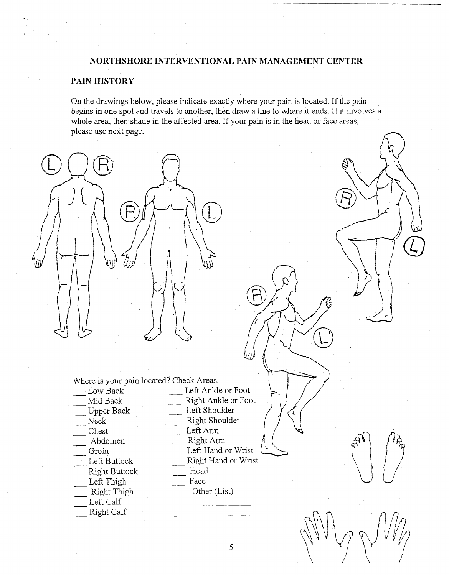#### PAIN HISTORY

On the drawings below, please indicate exactly where your pain is located. If the pain begins in one spot and travels to another, then draw a line to where it ends. If it involves a whole area, then shade in the affected area. If your pain is in the head or face areas, please use next page.



Where is your pain located? Check Areas.

- Low Back
- Mid Back
- **Upper Back**
- Neck
- Chest
- Abdomen
- Groin
- Left Buttock **Right Buttock**
- Left Thigh
- Right Thigh
- Left Calf
- Right Calf
- Left Ankle or Foot Right Ankle or Foot Left Shoulder Right Shoulder Left Arm Right Arm Left Hand or Wrist Right Hand or Wrist Head Face Other (List)

5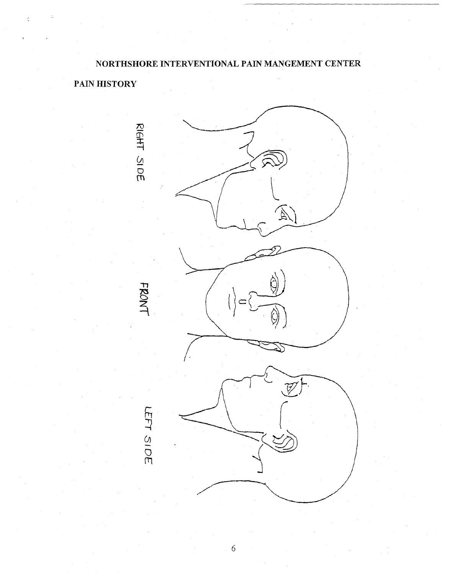PAIN HISTORY



6